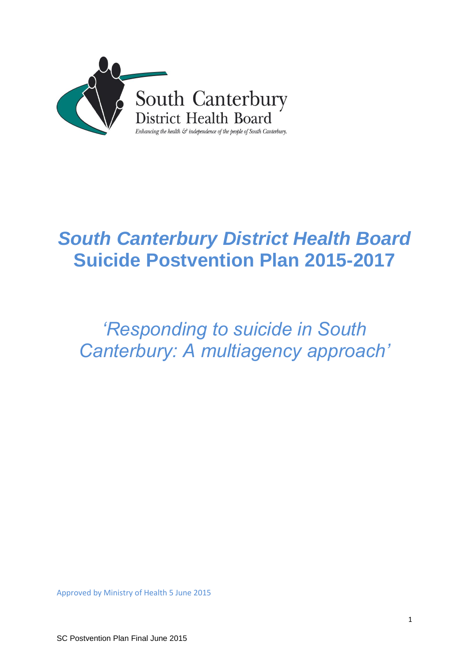

# *South Canterbury District Health Board*  **Suicide Postvention Plan 2015-2017**

# *'Responding to suicide in South Canterbury: A multiagency approach'*

Approved by Ministry of Health 5 June 2015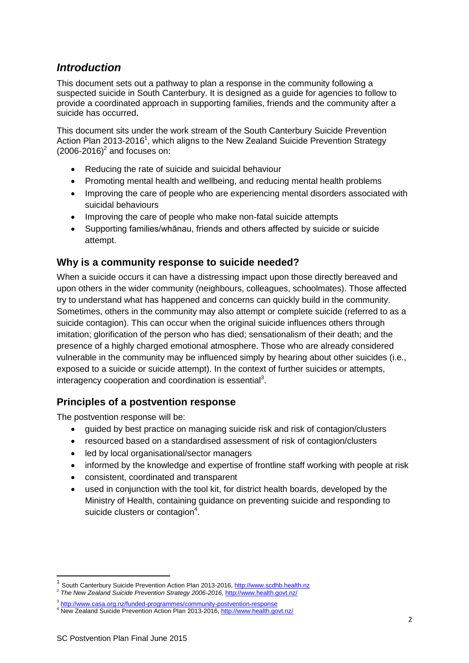# *Introduction*

This document sets out a pathway to plan a response in the community following a suspected suicide in South Canterbury. It is designed as a guide for agencies to follow to provide a coordinated approach in supporting families, friends and the community after a suicide has occurred.

This document sits under the work stream of the South Canterbury Suicide Prevention Action Plan 2013-2016<sup>1</sup>, which aligns to the New Zealand Suicide Prevention Strategy  $(2006-2016)^2$  and focuses on:

- Reducing the rate of suicide and suicidal behaviour
- Promoting mental health and wellbeing, and reducing mental health problems
- Improving the care of people who are experiencing mental disorders associated with suicidal behaviours
- Improving the care of people who make non-fatal suicide attempts
- Supporting families/whānau, friends and others affected by suicide or suicide attempt.

# **Why is a community response to suicide needed?**

When a suicide occurs it can have a distressing impact upon those directly bereaved and upon others in the wider community (neighbours, colleagues, schoolmates). Those affected try to understand what has happened and concerns can quickly build in the community. Sometimes, others in the community may also attempt or complete suicide (referred to as a suicide contagion). This can occur when the original suicide influences others through imitation; glorification of the person who has died; sensationalism of their death; and the presence of a highly charged emotional atmosphere. Those who are already considered vulnerable in the community may be influenced simply by hearing about other suicides (i.e., exposed to a suicide or suicide attempt). In the context of further suicides or attempts, interagency cooperation and coordination is essential<sup>3</sup>.

# **Principles of a postvention response**

The postvention response will be:

- guided by best practice on managing suicide risk and risk of contagion/clusters
- resourced based on a standardised assessment of risk of contagion/clusters
- led by local organisational/sector managers
- informed by the knowledge and expertise of frontline staff working with people at risk
- consistent, coordinated and transparent
- used in conjunction with the tool kit, for district health boards, developed by the Ministry of Health, containing guidance on preventing suicide and responding to suicide clusters or contagion<sup>4</sup>.

**.** 

<sup>1</sup> South Canterbury Suicide Prevention Action Plan 2013-2016[, http://www.scdhb.health.nz](http://www.scdhb.health.nz/uploads/File/Key_documents)

<sup>2</sup> *The New Zealand Suicide Prevention Strategy 2006-2016,* <http://www.health.govt.nz/>

<sup>&</sup>lt;sup>3</sup> <http://www.casa.org.nz/funded-programmes/community-postvention-response>

<sup>4</sup> New Zealand Suicide Prevention Action Plan 2013-2016[, http://www.health.govt.nz/](http://www.health.govt.nz/)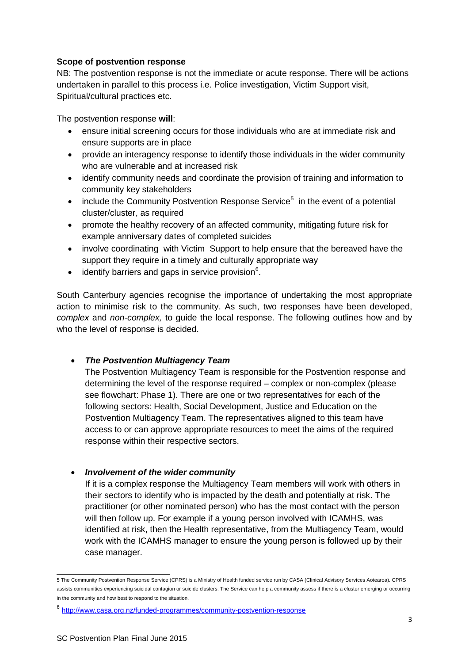## **Scope of postvention response**

NB: The postvention response is not the immediate or acute response. There will be actions undertaken in parallel to this process i.e. Police investigation, Victim Support visit, Spiritual/cultural practices etc.

The postvention response **will**:

- ensure initial screening occurs for those individuals who are at immediate risk and ensure supports are in place
- provide an interagency response to identify those individuals in the wider community who are vulnerable and at increased risk
- identify community needs and coordinate the provision of training and information to community key stakeholders
- include the Community Postvention Response Service<sup>5</sup> in the event of a potential cluster/cluster, as required
- promote the healthy recovery of an affected community, mitigating future risk for example anniversary dates of completed suicides
- involve coordinating with Victim Support to help ensure that the bereaved have the support they require in a timely and culturally appropriate way
- $\bullet$  identify barriers and gaps in service provision<sup>6</sup>.

South Canterbury agencies recognise the importance of undertaking the most appropriate action to minimise risk to the community. As such, two responses have been developed, *complex* and *non-complex,* to guide the local response. The following outlines how and by who the level of response is decided.

### *The Postvention Multiagency Team*

The Postvention Multiagency Team is responsible for the Postvention response and determining the level of the response required – complex or non-complex (please see flowchart: Phase 1). There are one or two representatives for each of the following sectors: Health, Social Development, Justice and Education on the Postvention Multiagency Team. The representatives aligned to this team have access to or can approve appropriate resources to meet the aims of the required response within their respective sectors.

### *Involvement of the wider community*

If it is a complex response the Multiagency Team members will work with others in their sectors to identify who is impacted by the death and potentially at risk. The practitioner (or other nominated person) who has the most contact with the person will then follow up. For example if a young person involved with ICAMHS, was identified at risk, then the Health representative, from the Multiagency Team, would work with the ICAMHS manager to ensure the young person is followed up by their case manager.

 5 The Community Postvention Response Service (CPRS) is a Ministry of Health funded service run by CASA (Clinical Advisory Services Aotearoa). CPRS assists communities experiencing suicidal contagion or suicide clusters. The Service can help a community assess if there is a cluster emerging or occurring in the community and how best to respond to the situation.

<sup>&</sup>lt;sup>6</sup> <http://www.casa.org.nz/funded-programmes/community-postvention-response>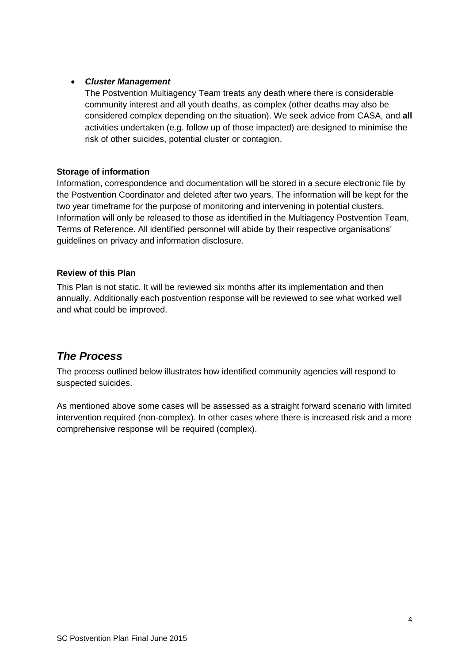# *Cluster Management*

The Postvention Multiagency Team treats any death where there is considerable community interest and all youth deaths, as complex (other deaths may also be considered complex depending on the situation). We seek advice from CASA, and **all** activities undertaken (e.g. follow up of those impacted) are designed to minimise the risk of other suicides, potential cluster or contagion.

# **Storage of information**

Information, correspondence and documentation will be stored in a secure electronic file by the Postvention Coordinator and deleted after two years. The information will be kept for the two year timeframe for the purpose of monitoring and intervening in potential clusters. Information will only be released to those as identified in the Multiagency Postvention Team, Terms of Reference. All identified personnel will abide by their respective organisations' guidelines on privacy and information disclosure.

# **Review of this Plan**

This Plan is not static. It will be reviewed six months after its implementation and then annually. Additionally each postvention response will be reviewed to see what worked well and what could be improved.

# *The Process*

The process outlined below illustrates how identified community agencies will respond to suspected suicides.

As mentioned above some cases will be assessed as a straight forward scenario with limited intervention required (non-complex). In other cases where there is increased risk and a more comprehensive response will be required (complex).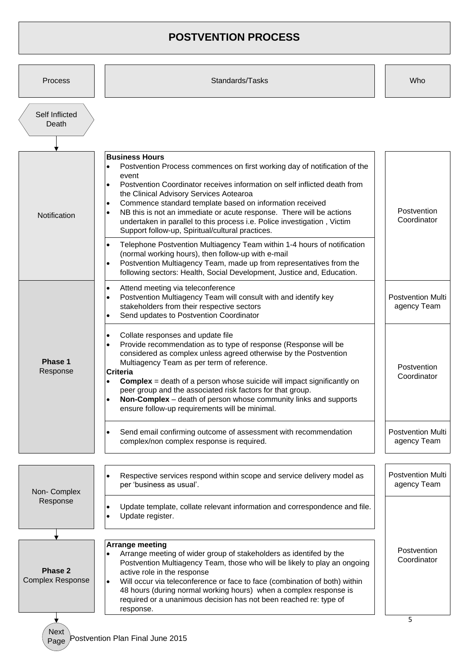# **POSTVENTION PROCESS**

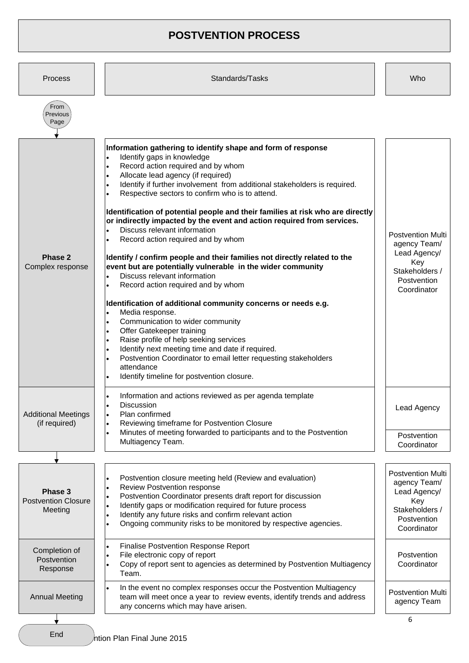# **POSTVENTION PROCESS**

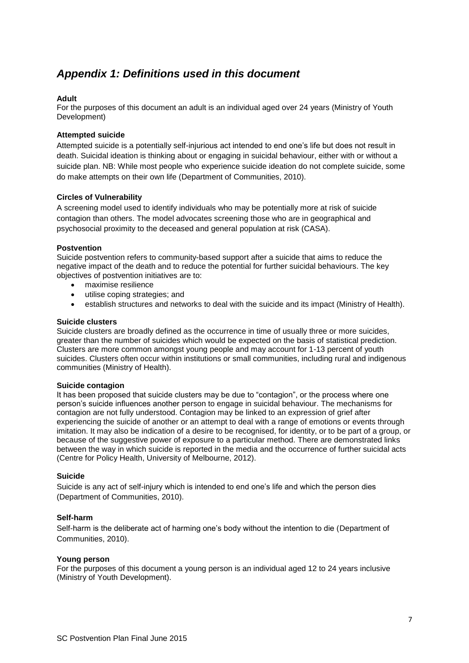# *Appendix 1: Definitions used in this document*

#### **Adult**

For the purposes of this document an adult is an individual aged over 24 years (Ministry of Youth Development)

#### **Attempted suicide**

Attempted suicide is a potentially self-injurious act intended to end one's life but does not result in death. Suicidal ideation is thinking about or engaging in suicidal behaviour, either with or without a suicide plan. NB: While most people who experience suicide ideation do not complete suicide, some do make attempts on their own life (Department of Communities, 2010).

#### **Circles of Vulnerability**

A screening model used to identify individuals who may be potentially more at risk of suicide contagion than others. The model advocates screening those who are in geographical and psychosocial proximity to the deceased and general population at risk (CASA).

#### **Postvention**

Suicide postvention refers to community-based support after a suicide that aims to reduce the negative impact of the death and to reduce the potential for further suicidal behaviours. The key objectives of postvention initiatives are to:

- maximise resilience
- utilise coping strategies; and
- establish structures and networks to deal with the suicide and its impact (Ministry of Health).

#### **Suicide clusters**

Suicide clusters are broadly defined as the occurrence in time of usually three or more suicides, greater than the number of suicides which would be expected on the basis of statistical prediction. Clusters are more common amongst young people and may account for 1-13 percent of youth suicides. Clusters often occur within institutions or small communities, including rural and indigenous communities (Ministry of Health).

#### **Suicide contagion**

It has been proposed that suicide clusters may be due to "contagion", or the process where one person's suicide influences another person to engage in suicidal behaviour. The mechanisms for contagion are not fully understood. Contagion may be linked to an expression of grief after experiencing the suicide of another or an attempt to deal with a range of emotions or events through imitation. It may also be indication of a desire to be recognised, for identity, or to be part of a group, or because of the suggestive power of exposure to a particular method. There are demonstrated links between the way in which suicide is reported in the media and the occurrence of further suicidal acts (Centre for Policy Health, University of Melbourne, 2012).

#### **Suicide**

Suicide is any act of self-injury which is intended to end one's life and which the person dies (Department of Communities, 2010).

#### **Self-harm**

Self-harm is the deliberate act of harming one's body without the intention to die (Department of Communities, 2010).

#### **Young person**

For the purposes of this document a young person is an individual aged 12 to 24 years inclusive (Ministry of Youth Development).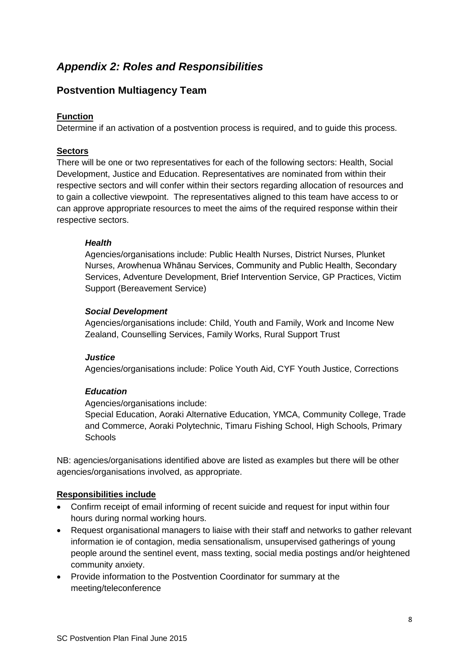# *Appendix 2: Roles and Responsibilities*

# **Postvention Multiagency Team**

# **Function**

Determine if an activation of a postvention process is required, and to guide this process.

## **Sectors**

There will be one or two representatives for each of the following sectors: Health, Social Development, Justice and Education. Representatives are nominated from within their respective sectors and will confer within their sectors regarding allocation of resources and to gain a collective viewpoint. The representatives aligned to this team have access to or can approve appropriate resources to meet the aims of the required response within their respective sectors.

## *Health*

Agencies/organisations include: Public Health Nurses, District Nurses, Plunket Nurses, Arowhenua Whānau Services, Community and Public Health, Secondary Services, Adventure Development, Brief Intervention Service, GP Practices, Victim Support (Bereavement Service)

## *Social Development*

Agencies/organisations include: Child, Youth and Family, Work and Income New Zealand, Counselling Services, Family Works, Rural Support Trust

## *Justice*

Agencies/organisations include: Police Youth Aid, CYF Youth Justice, Corrections

# *Education*

Agencies/organisations include:

Special Education, Aoraki Alternative Education, YMCA, Community College, Trade and Commerce, Aoraki Polytechnic, Timaru Fishing School, High Schools, Primary **Schools** 

NB: agencies/organisations identified above are listed as examples but there will be other agencies/organisations involved, as appropriate.

# **Responsibilities include**

- Confirm receipt of email informing of recent suicide and request for input within four hours during normal working hours.
- Request organisational managers to liaise with their staff and networks to gather relevant information ie of contagion, media sensationalism, unsupervised gatherings of young people around the sentinel event, mass texting, social media postings and/or heightened community anxiety.
- Provide information to the Postvention Coordinator for summary at the meeting/teleconference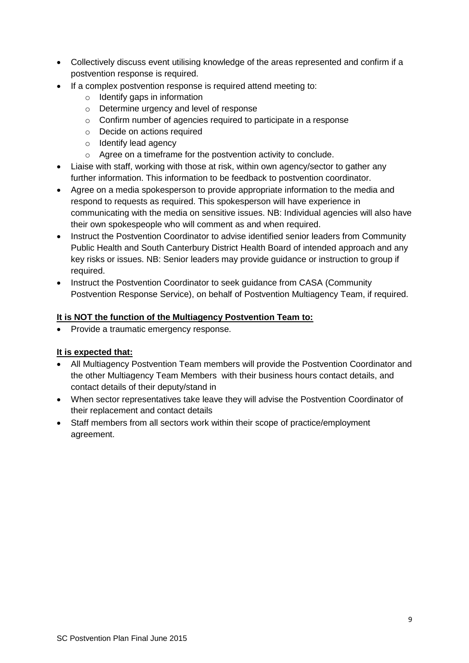- Collectively discuss event utilising knowledge of the areas represented and confirm if a postvention response is required.
- If a complex postvention response is required attend meeting to:
	- o Identify gaps in information
	- o Determine urgency and level of response
	- o Confirm number of agencies required to participate in a response
	- o Decide on actions required
	- o Identify lead agency
	- o Agree on a timeframe for the postvention activity to conclude.
- Liaise with staff, working with those at risk, within own agency/sector to gather any further information. This information to be feedback to postvention coordinator.
- Agree on a media spokesperson to provide appropriate information to the media and respond to requests as required. This spokesperson will have experience in communicating with the media on sensitive issues. NB: Individual agencies will also have their own spokespeople who will comment as and when required.
- Instruct the Postvention Coordinator to advise identified senior leaders from Community Public Health and South Canterbury District Health Board of intended approach and any key risks or issues. NB: Senior leaders may provide guidance or instruction to group if required.
- Instruct the Postvention Coordinator to seek guidance from CASA (Community Postvention Response Service), on behalf of Postvention Multiagency Team, if required.

# **It is NOT the function of the Multiagency Postvention Team to:**

• Provide a traumatic emergency response.

# **It is expected that:**

- All Multiagency Postvention Team members will provide the Postvention Coordinator and the other Multiagency Team Members with their business hours contact details, and contact details of their deputy/stand in
- When sector representatives take leave they will advise the Postvention Coordinator of their replacement and contact details
- Staff members from all sectors work within their scope of practice/employment agreement.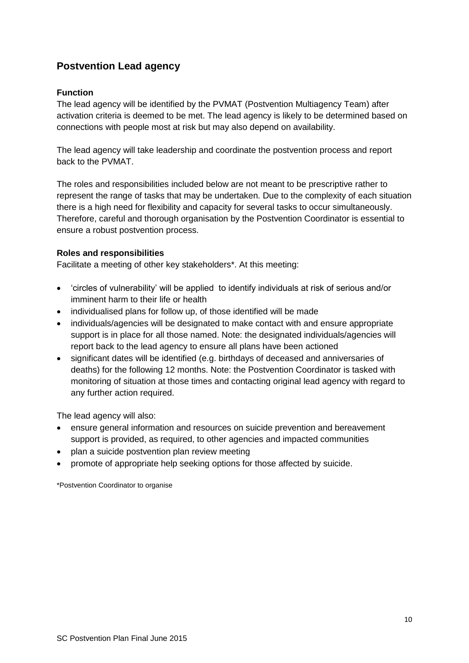# **Postvention Lead agency**

# **Function**

The lead agency will be identified by the PVMAT (Postvention Multiagency Team) after activation criteria is deemed to be met. The lead agency is likely to be determined based on connections with people most at risk but may also depend on availability.

The lead agency will take leadership and coordinate the postvention process and report back to the PVMAT.

The roles and responsibilities included below are not meant to be prescriptive rather to represent the range of tasks that may be undertaken. Due to the complexity of each situation there is a high need for flexibility and capacity for several tasks to occur simultaneously. Therefore, careful and thorough organisation by the Postvention Coordinator is essential to ensure a robust postvention process.

# **Roles and responsibilities**

Facilitate a meeting of other key stakeholders\*. At this meeting:

- 'circles of vulnerability' will be applied to identify individuals at risk of serious and/or imminent harm to their life or health
- individualised plans for follow up, of those identified will be made
- individuals/agencies will be designated to make contact with and ensure appropriate support is in place for all those named. Note: the designated individuals/agencies will report back to the lead agency to ensure all plans have been actioned
- significant dates will be identified (e.g. birthdays of deceased and anniversaries of deaths) for the following 12 months. Note: the Postvention Coordinator is tasked with monitoring of situation at those times and contacting original lead agency with regard to any further action required.

The lead agency will also:

- ensure general information and resources on suicide prevention and bereavement support is provided, as required, to other agencies and impacted communities
- plan a suicide postvention plan review meeting
- promote of appropriate help seeking options for those affected by suicide.

\*Postvention Coordinator to organise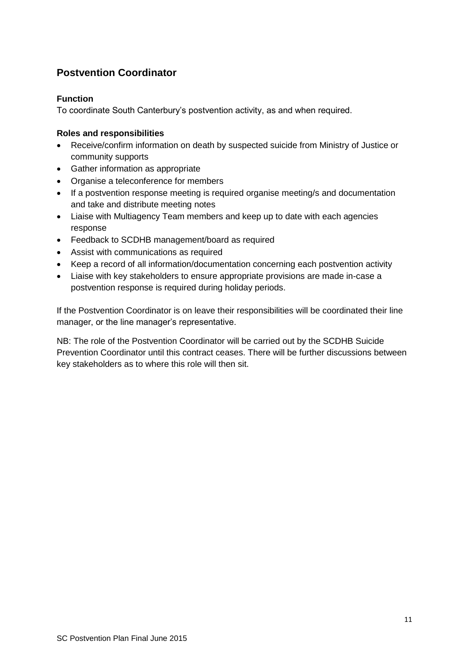# **Postvention Coordinator**

## **Function**

To coordinate South Canterbury's postvention activity, as and when required.

## **Roles and responsibilities**

- Receive/confirm information on death by suspected suicide from Ministry of Justice or community supports
- Gather information as appropriate
- Organise a teleconference for members
- If a postvention response meeting is required organise meeting/s and documentation and take and distribute meeting notes
- Liaise with Multiagency Team members and keep up to date with each agencies response
- Feedback to SCDHB management/board as required
- Assist with communications as required
- Keep a record of all information/documentation concerning each postvention activity
- Liaise with key stakeholders to ensure appropriate provisions are made in-case a postvention response is required during holiday periods.

If the Postvention Coordinator is on leave their responsibilities will be coordinated their line manager, or the line manager's representative.

NB: The role of the Postvention Coordinator will be carried out by the SCDHB Suicide Prevention Coordinator until this contract ceases. There will be further discussions between key stakeholders as to where this role will then sit.